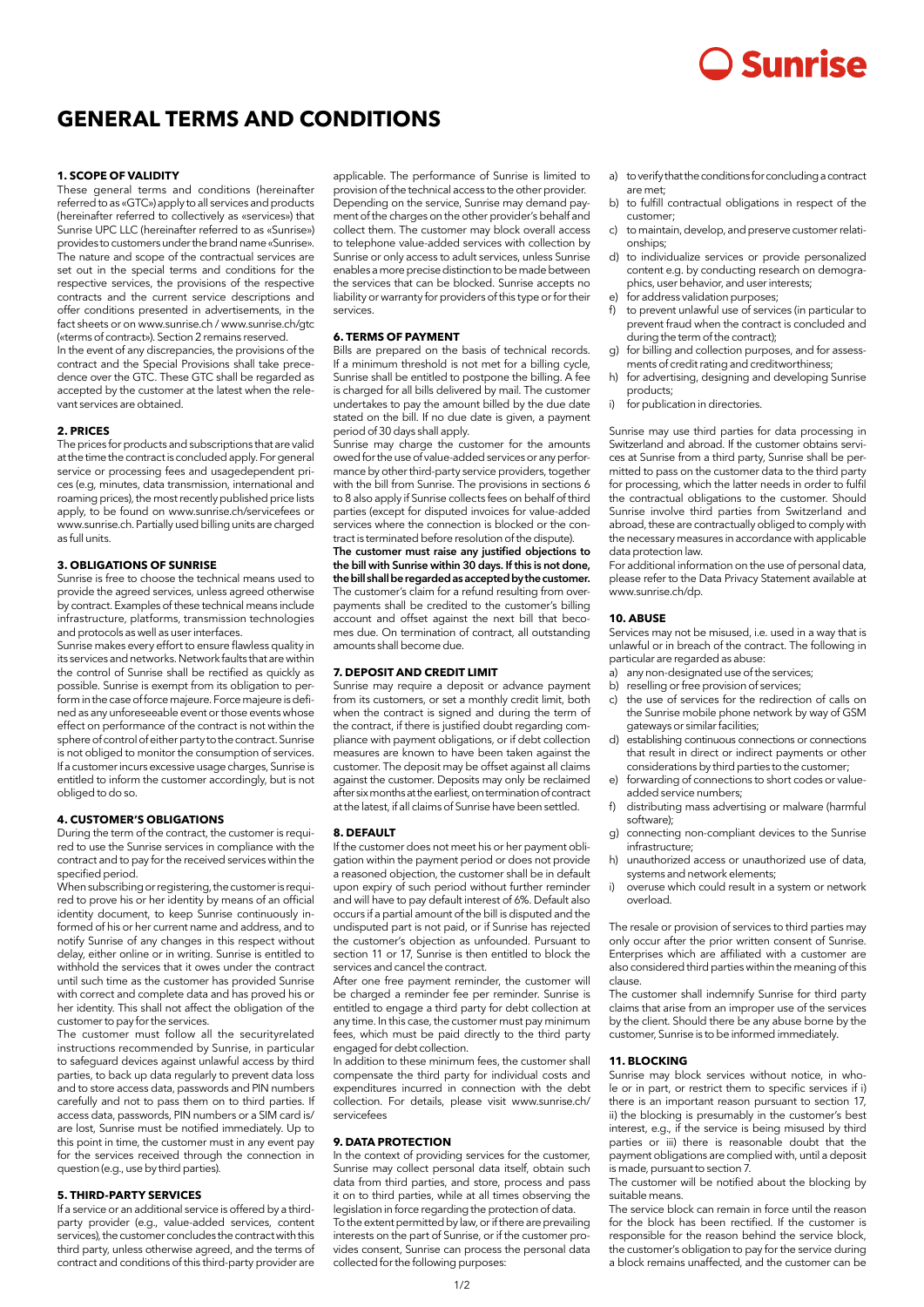# Sunrise

# **GENERAL TERMS AND CONDITIONS**

#### **1. SCOPE OF VALIDITY**

These general terms and conditions (hereinafter referred to as «GTC») apply to all services and products (hereinafter referred to collectively as «services») that Sunrise UPC LLC (hereinafter referred to as «Sunrise») provides to customers under the brand name «Sunrise». The nature and scope of the contractual services are set out in the special terms and conditions for the respective services, the provisions of the respective contracts and the current service descriptions and offer conditions presented in advertisements, in the fact sheets or on www.sunrise.ch / www.sunrise.ch/gtc («terms of contract»). Section 2 remains reserved. In the event of any discrepancies, the provisions of the contract and the Special Provisions shall take precedence over the GTC. These GTC shall be regarded as accepted by the customer at the latest when the relevant services are obtained.

#### **2. PRICES**

The prices for products and subscriptions that are valid at the time the contract is concluded apply. For general service or processing fees and usagedependent prices (e.g, minutes, data transmission, international and roaming prices), the most recently published price lists apply, to be found on www.sunrise.ch/servicefees or www.sunrise.ch. Partially used billing units are charged as full units.

#### **3. OBLIGATIONS OF SUNRISE**

Sunrise is free to choose the technical means used to provide the agreed services, unless agreed otherwise by contract. Examples of these technical means include infrastructure, platforms, transmission technologies and protocols as well as user interfaces.

Sunrise makes every effort to ensure flawless quality in its services and networks. Network faults that are within the control of Sunrise shall be rectified as quickly as possible. Sunrise is exempt from its obligation to perform in the case of force majeure. Force majeure is defined as any unforeseeable event or those events whose effect on performance of the contract is not within the sphere of control of either party to the contract. Sunrise is not obliged to monitor the consumption of services. If a customer incurs excessive usage charges, Sunrise is entitled to inform the customer accordingly, but is not obliged to do so.

#### **4. CUSTOMER'S OBLIGATIONS**

During the term of the contract, the customer is required to use the Sunrise services in compliance with the contract and to pay for the received services within the specified period.

When subscribing or registering, the customer is required to prove his or her identity by means of an official identity document, to keep Sunrise continuously informed of his or her current name and address, and to notify Sunrise of any changes in this respect without delay, either online or in writing. Sunrise is entitled to withhold the services that it owes under the contract until such time as the customer has provided Sunrise with correct and complete data and has proved his or her identity. This shall not affect the obligation of the customer to pay for the services.

The customer must follow all the securityrelated instructions recommended by Sunrise, in particular to safeguard devices against unlawful access by third parties, to back up data regularly to prevent data loss and to store access data, passwords and PIN numbers carefully and not to pass them on to third parties. If access data, passwords, PIN numbers or a SIM card is/ are lost, Sunrise must be notified immediately. Up to this point in time, the customer must in any event pay for the services received through the connection in question (e.g., use by third parties).

# **5. THIRD-PARTY SERVICES**

If a service or an additional service is offered by a thirdparty provider (e.g., value-added services, content services), the customer concludes the contract with this third party, unless otherwise agreed, and the terms of contract and conditions of this third-party provider are

applicable. The performance of Sunrise is limited to provision of the technical access to the other provider. Depending on the service, Sunrise may demand payment of the charges on the other provider's behalf and collect them. The customer may block overall access to telephone value-added services with collection by Sunrise or only access to adult services, unless Sunrise enables a more precise distinction to be made between the services that can be blocked. Sunrise accepts no liability or warranty for providers of this type or for their services.

## **6. TERMS OF PAYMENT**

Bills are prepared on the basis of technical records. If a minimum threshold is not met for a billing cycle, Sunrise shall be entitled to postpone the billing. A fee is charged for all bills delivered by mail. The customer undertakes to pay the amount billed by the due date stated on the bill. If no due date is given, a payment period of 30 days shall apply.

Sunrise may charge the customer for the amounts owed for the use of value-added services or any performance by other third-party service providers, together with the bill from Sunrise. The provisions in sections 6 to 8 also apply if Sunrise collects fees on behalf of third parties (except for disputed invoices for value-added services where the connection is blocked or the contract is terminated before resolution of the dispute).

The customer must raise any justified objections to the bill with Sunrise within 30 days. If this is not done, the bill shall be regarded as accepted by the customer. The customer's claim for a refund resulting from overpayments shall be credited to the customer's billing account and offset against the next bill that becomes due. On termination of contract, all outstanding amounts shall become due.

#### **7. DEPOSIT AND CREDIT LIMIT**

Sunrise may require a deposit or advance payment from its customers, or set a monthly credit limit, both when the contract is signed and during the term of the contract, if there is justified doubt regarding compliance with payment obligations, or if debt collection measures are known to have been taken against the customer. The deposit may be offset against all claims against the customer. Deposits may only be reclaimed after six months at the earliest, on termination of contract at the latest, if all claims of Sunrise have been settled.

#### **8. DEFAULT**

If the customer does not meet his or her payment obligation within the payment period or does not provide a reasoned objection, the customer shall be in default upon expiry of such period without further reminder and will have to pay default interest of 6%. Default also occurs if a partial amount of the bill is disputed and the undisputed part is not paid, or if Sunrise has rejected the customer's objection as unfounded. Pursuant to section 11 or 17, Sunrise is then entitled to block the services and cancel the contract.

After one free payment reminder, the customer will be charged a reminder fee per reminder. Sunrise is entitled to engage a third party for debt collection at any time. In this case, the customer must pay minimum fees, which must be paid directly to the third party engaged for debt collection.

In addition to these minimum fees, the customer shall compensate the third party for individual costs and expenditures incurred in connection with the debt collection. For details, please visit www.sunrise.ch/ servicefees

#### **9. DATA PROTECTION**

In the context of providing services for the customer, Sunrise may collect personal data itself, obtain such data from third parties, and store, process and pass it on to third parties, while at all times observing the legislation in force regarding the protection of data.

To the extent permitted by law, or if there are prevailing interests on the part of Sunrise, or if the customer provides consent, Sunrise can process the personal data collected for the following purposes:

- a) to verify that the conditions for concluding a contract are met;
- b) to fulfill contractual obligations in respect of the customer;
- c) to maintain, develop, and preserve customer relationships;
- d) to individualize services or provide personalized content e.g. by conducting research on demographics, user behavior, and user interests;
- for address validation purposes;
- to prevent unlawful use of services (in particular to prevent fraud when the contract is concluded and during the term of the contract);
- for billing and collection purposes, and for assessments of credit rating and creditworthiness;
- for advertising, designing and developing Sunrise products;
- i) for publication in directories.

Sunrise may use third parties for data processing in Switzerland and abroad. If the customer obtains services at Sunrise from a third party, Sunrise shall be permitted to pass on the customer data to the third party for processing, which the latter needs in order to fulfil the contractual obligations to the customer. Should Sunrise involve third parties from Switzerland and abroad, these are contractually obliged to comply with the necessary measures in accordance with applicable data protection law.

For additional information on the use of personal data, please refer to the Data Privacy Statement available at .<br>www.sunrise.ch/dp.

#### **10. ABUSE**

Services may not be misused, i.e. used in a way that is unlawful or in breach of the contract. The following in particular are regarded as abuse:

- a) any non-designated use of the services;
- b) reselling or free provision of services;
- c) the use of services for the redirection of calls on the Sunrise mobile phone network by way of GSM gateways or similar facilities;
- establishing continuous connections or connections that result in direct or indirect payments or other considerations by third parties to the customer;
- forwarding of connections to short codes or valueadded service numbers;
- f) distributing mass advertising or malware (harmful software);
- g) connecting non-compliant devices to the Sunrise infrastructure;
- h) unauthorized access or unauthorized use of data, systems and network elements;
- overuse which could result in a system or network overload.

The resale or provision of services to third parties may only occur after the prior written consent of Sunrise. Enterprises which are affiliated with a customer are also considered third parties within the meaning of this clause.

The customer shall indemnify Sunrise for third party claims that arise from an improper use of the services by the client. Should there be any abuse borne by the customer, Sunrise is to be informed immediately.

#### **11. BLOCKING**

Sunrise may block services without notice, in whole or in part, or restrict them to specific services if i) there is an important reason pursuant to section 17, ii) the blocking is presumably in the customer's best interest, e.g., if the service is being misused by third parties or iii) there is reasonable doubt that the payment obligations are complied with, until a deposit is made, pursuant to section 7.

The customer will be notified about the blocking by suitable means.

The service block can remain in force until the reason for the block has been rectified. If the customer is responsible for the reason behind the service block, the customer's obligation to pay for the service during a block remains unaffected, and the customer can be